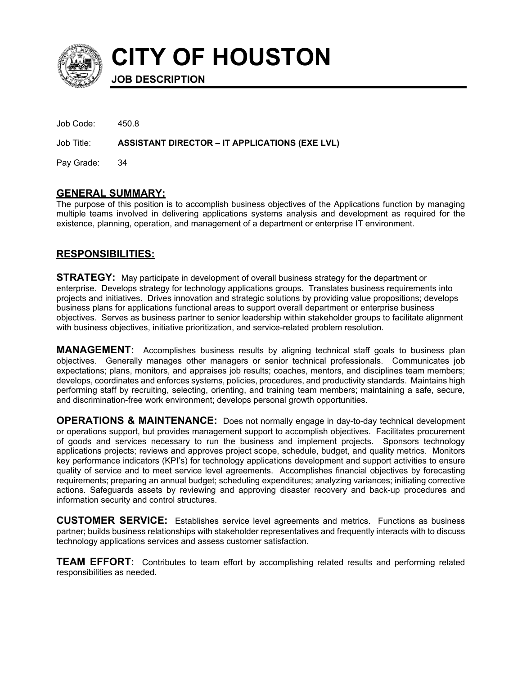

**CITY OF HOUSTON**

**JOB DESCRIPTION**

| Job Code:     | 450 R                                                 |
|---------------|-------------------------------------------------------|
| Job Title:    | <b>ASSISTANT DIRECTOR – IT APPLICATIONS (EXE LVL)</b> |
| Pay Grade: 34 |                                                       |

## **GENERAL SUMMARY:**

The purpose of this position is to accomplish business objectives of the Applications function by managing multiple teams involved in delivering applications systems analysis and development as required for the existence, planning, operation, and management of a department or enterprise IT environment.

## **RESPONSIBILITIES:**

**STRATEGY:** May participate in development of overall business strategy for the department or enterprise. Develops strategy for technology applications groups. Translates business requirements into projects and initiatives. Drives innovation and strategic solutions by providing value propositions; develops business plans for applications functional areas to support overall department or enterprise business objectives. Serves as business partner to senior leadership within stakeholder groups to facilitate alignment with business objectives, initiative prioritization, and service-related problem resolution.

**MANAGEMENT:** Accomplishes business results by aligning technical staff goals to business plan objectives. Generally manages other managers or senior technical professionals. Communicates job expectations; plans, monitors, and appraises job results; coaches, mentors, and disciplines team members; develops, coordinates and enforces systems, policies, procedures, and productivity standards. Maintains high performing staff by recruiting, selecting, orienting, and training team members; maintaining a safe, secure, and discrimination-free work environment; develops personal growth opportunities.

**OPERATIONS & MAINTENANCE:** Does not normally engage in day-to-day technical development or operations support, but provides management support to accomplish objectives. Facilitates procurement of goods and services necessary to run the business and implement projects. Sponsors technology applications projects; reviews and approves project scope, schedule, budget, and quality metrics. Monitors key performance indicators (KPI's) for technology applications development and support activities to ensure quality of service and to meet service level agreements. Accomplishes financial objectives by forecasting requirements; preparing an annual budget; scheduling expenditures; analyzing variances; initiating corrective actions. Safeguards assets by reviewing and approving disaster recovery and back-up procedures and information security and control structures.

**CUSTOMER SERVICE:** Establishes service level agreements and metrics. Functions as business partner; builds business relationships with stakeholder representatives and frequently interacts with to discuss technology applications services and assess customer satisfaction.

**TEAM EFFORT:** Contributes to team effort by accomplishing related results and performing related responsibilities as needed.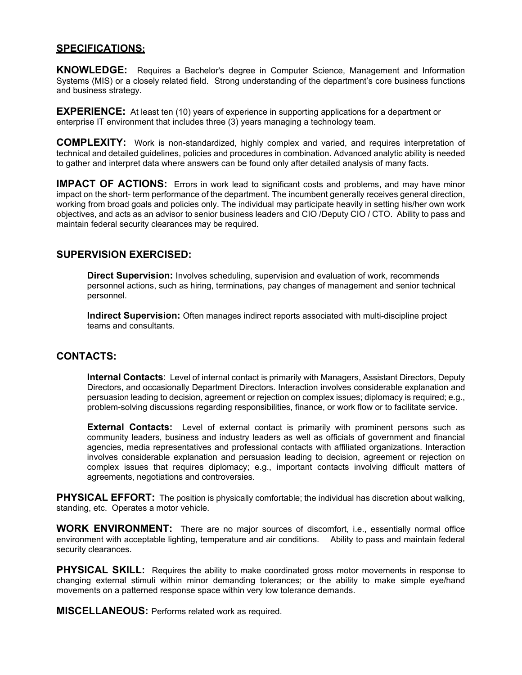#### **SPECIFICATIONS:**

**KNOWLEDGE:** Requires a Bachelor's degree in Computer Science, Management and Information Systems (MIS) or a closely related field. Strong understanding of the department's core business functions and business strategy.

**EXPERIENCE:** At least ten (10) years of experience in supporting applications for a department or enterprise IT environment that includes three (3) years managing a technology team.

**COMPLEXITY:** Work is non-standardized, highly complex and varied, and requires interpretation of technical and detailed guidelines, policies and procedures in combination. Advanced analytic ability is needed to gather and interpret data where answers can be found only after detailed analysis of many facts.

**IMPACT OF ACTIONS:** Errors in work lead to significant costs and problems, and may have minor impact on the short- term performance of the department. The incumbent generally receives general direction, working from broad goals and policies only. The individual may participate heavily in setting his/her own work objectives, and acts as an advisor to senior business leaders and CIO /Deputy CIO / CTO. Ability to pass and maintain federal security clearances may be required.

#### **SUPERVISION EXERCISED:**

**Direct Supervision:** Involves scheduling, supervision and evaluation of work, recommends personnel actions, such as hiring, terminations, pay changes of management and senior technical personnel.

**Indirect Supervision:** Often manages indirect reports associated with multi-discipline project teams and consultants.

#### **CONTACTS:**

**Internal Contacts**: Level of internal contact is primarily with Managers, Assistant Directors, Deputy Directors, and occasionally Department Directors. Interaction involves considerable explanation and persuasion leading to decision, agreement or rejection on complex issues; diplomacy is required; e.g., problem-solving discussions regarding responsibilities, finance, or work flow or to facilitate service.

**External Contacts:** Level of external contact is primarily with prominent persons such as community leaders, business and industry leaders as well as officials of government and financial agencies, media representatives and professional contacts with affiliated organizations. Interaction involves considerable explanation and persuasion leading to decision, agreement or rejection on complex issues that requires diplomacy; e.g., important contacts involving difficult matters of agreements, negotiations and controversies.

**PHYSICAL EFFORT:** The position is physically comfortable; the individual has discretion about walking, standing, etc. Operates a motor vehicle.

**WORK ENVIRONMENT:** There are no major sources of discomfort, i.e., essentially normal office environment with acceptable lighting, temperature and air conditions. Ability to pass and maintain federal security clearances.

**PHYSICAL SKILL:** Requires the ability to make coordinated gross motor movements in response to changing external stimuli within minor demanding tolerances; or the ability to make simple eye/hand movements on a patterned response space within very low tolerance demands.

**MISCELLANEOUS:** Performs related work as required.